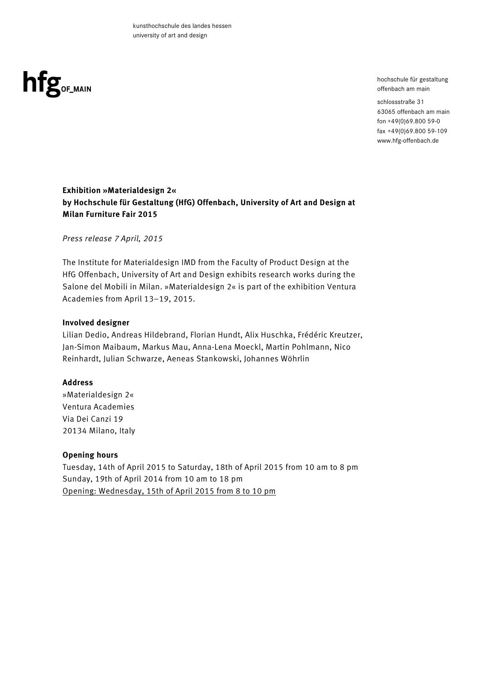

hochschule für gestaltung offenbach am main

schlossstraße 31 63065 offenbach am main fon +49(0)69.800 59-0 fax +49(0)69.800 59-109 www.hfg-offenbach.de

# **Exhibition »Materialdesign 2« by Hochschule für Gestaltung (HfG) Offenbach, University of Art and Design at Milan Furniture Fair 2015**

*Press release 7 April, 2015*

The Institute for Materialdesign IMD from the Faculty of Product Design at the HfG Offenbach, University of Art and Design exhibits research works during the Salone del Mobili in Milan. »Materialdesign 2« is part of the exhibition Ventura Academies from April 13–19, 2015.

# **Involved designer**

Lilian Dedio, Andreas Hildebrand, Florian Hundt, Alix Huschka, Frédéric Kreutzer, Jan-Simon Maibaum, Markus Mau, Anna-Lena Moeckl, Martin Pohlmann, Nico Reinhardt, Julian Schwarze, Aeneas Stankowski, Johannes Wöhrlin

# **Address**

»Materialdesign 2« Ventura Academies Via Dei Canzi 19 20134 Milano, Italy

# **Opening hours**

Tuesday, 14th of April 2015 to Saturday, 18th of April 2015 from 10 am to 8 pm Sunday, 19th of April 2014 from 10 am to 18 pm Opening: Wednesday, 15th of April 2015 from 8 to 10 pm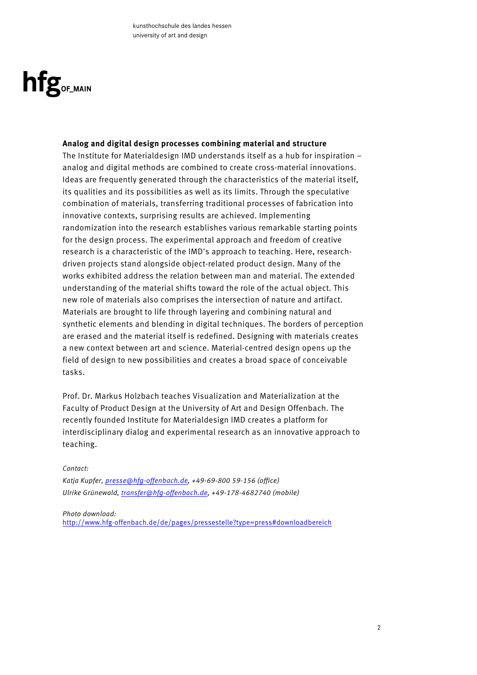

#### **Analog and digital design processes combining material and structure**

The Institute for Materialdesign IMD understands itself as a hub for inspiration – analog and digital methods are combined to create cross-material innovations. Ideas are frequently generated through the characteristics of the material itself, its qualities and its possibilities as well as its limits. Through the speculative combination of materials, transferring traditional processes of fabrication into innovative contexts, surprising results are achieved. Implementing randomization into the research establishes various remarkable starting points for the design process. The experimental approach and freedom of creative research is a characteristic of the IMD's approach to teaching. Here, researchdriven projects stand alongside object-related product design. Many of the works exhibited address the relation between man and material. The extended understanding of the material shifts toward the role of the actual object. This new role of materials also comprises the intersection of nature and artifact. Materials are brought to life through layering and combining natural and synthetic elements and blending in digital techniques. The borders of perception are erased and the material itself is redefined. Designing with materials creates a new context between art and science. Material-centred design opens up the field of design to new possibilities and creates a broad space of conceivable tasks.

Prof. Dr. Markus Holzbach teaches Visualization and Materialization at the Faculty of Product Design at the University of Art and Design Offenbach. The recently founded Institute for Materialdesign IMD creates a platform for interdisciplinary dialog and experimental research as an innovative approach to teaching.

#### *Contact:*

*Katja Kupfer, presse@hfg-offenbach.de, +49-69-800 59-156 (office) Ulrike Grünewald, transfer@hfg-offenbach.de, +49-178-4682740 (mobile)*

#### *Photo download:*

http://www.hfg-offenbach.de/de/pages/pressestelle?type=press#downloadbereich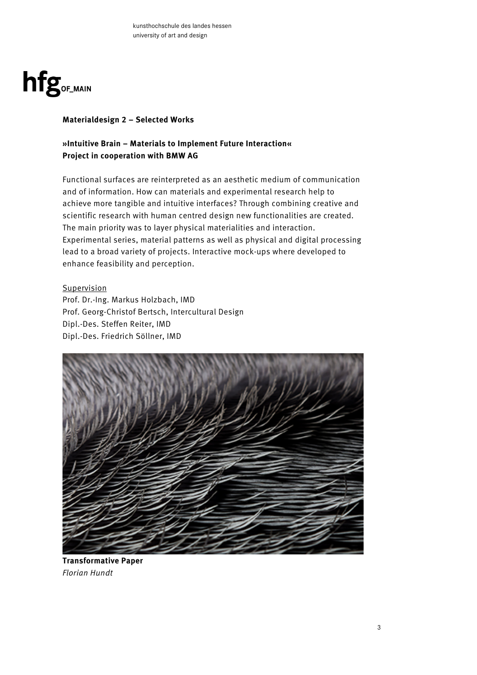

# **Materialdesign 2 – Selected Works**

# **»Intuitive Brain – Materials to Implement Future Interaction« Project in cooperation with BMW AG**

Functional surfaces are reinterpreted as an aesthetic medium of communication and of information. How can materials and experimental research help to achieve more tangible and intuitive interfaces? Through combining creative and scientific research with human centred design new functionalities are created. The main priority was to layer physical materialities and interaction. Experimental series, material patterns as well as physical and digital processing lead to a broad variety of projects. Interactive mock-ups where developed to enhance feasibility and perception.

**Supervision** 

Prof. Dr.-Ing. Markus Holzbach, IMD Prof. Georg-Christof Bertsch, Intercultural Design Dipl.-Des. Steffen Reiter, IMD Dipl.-Des. Friedrich Söllner, IMD



**Transformative Paper** *Florian Hundt*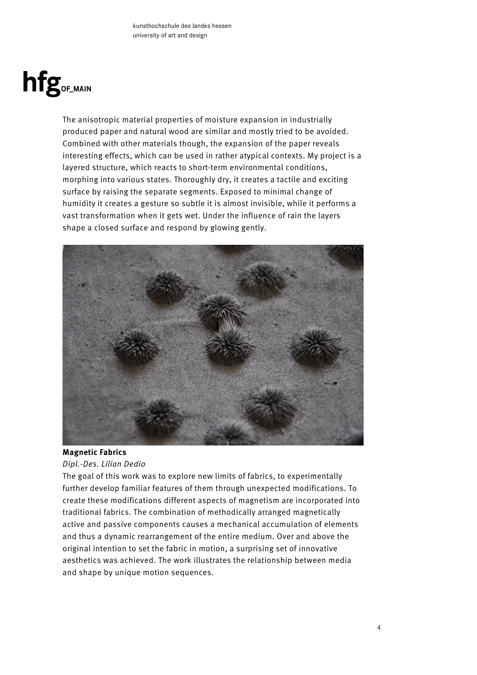# hfg<sub>OF\_MAIN</sub>

The anisotropic material properties of moisture expansion in industrially produced paper and natural wood are similar and mostly tried to be avoided. Combined with other materials though, the expansion of the paper reveals interesting effects, which can be used in rather atypical contexts. My project is a layered structure, which reacts to short-term environmental conditions, morphing into various states. Thoroughly dry, it creates a tactile and exciting surface by raising the separate segments. Exposed to minimal change of humidity it creates a gesture so subtle it is almost invisible, while it performs a vast transformation when it gets wet. Under the influence of rain the layers shape a closed surface and respond by glowing gently.



# **Magnetic Fabrics**

# *Dipl.-Des. Lilian Dedio*

The goal of this work was to explore new limits of fabrics, to experimentally further develop familiar features of them through unexpected modifications. To create these modifications different aspects of magnetism are incorporated into traditional fabrics. The combination of methodically arranged magnetically active and passive components causes a mechanical accumulation of elements and thus a dynamic rearrangement of the entire medium. Over and above the original intention to set the fabric in motion, a surprising set of innovative aesthetics was achieved. The work illustrates the relationship between media and shape by unique motion sequences.